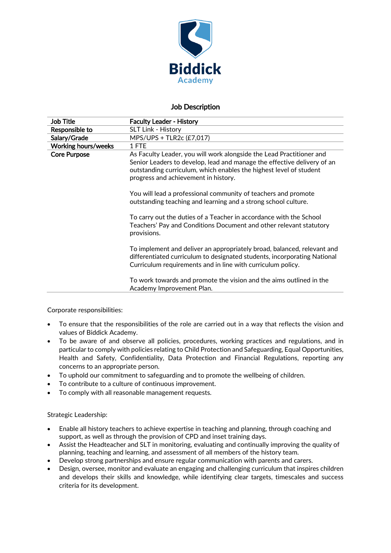

# Job Description

| Job Title                  | <b>Faculty Leader - History</b>                                                                                                                                                                                                                               |
|----------------------------|---------------------------------------------------------------------------------------------------------------------------------------------------------------------------------------------------------------------------------------------------------------|
| Responsible to             | <b>SLT Link - History</b>                                                                                                                                                                                                                                     |
| Salary/Grade               | MPS/UPS + TLR2c (£7,017)                                                                                                                                                                                                                                      |
| <b>Working hours/weeks</b> | 1 FTE                                                                                                                                                                                                                                                         |
| <b>Core Purpose</b>        | As Faculty Leader, you will work alongside the Lead Practitioner and<br>Senior Leaders to develop, lead and manage the effective delivery of an<br>outstanding curriculum, which enables the highest level of student<br>progress and achievement in history. |
|                            | You will lead a professional community of teachers and promote<br>outstanding teaching and learning and a strong school culture.                                                                                                                              |
|                            | To carry out the duties of a Teacher in accordance with the School<br>Teachers' Pay and Conditions Document and other relevant statutory<br>provisions.                                                                                                       |
|                            | To implement and deliver an appropriately broad, balanced, relevant and<br>differentiated curriculum to designated students, incorporating National<br>Curriculum requirements and in line with curriculum policy.                                            |
|                            | To work towards and promote the vision and the aims outlined in the<br>Academy Improvement Plan.                                                                                                                                                              |

### Corporate responsibilities:

- To ensure that the responsibilities of the role are carried out in a way that reflects the vision and values of Biddick Academy.
- To be aware of and observe all policies, procedures, working practices and regulations, and in particular to comply with policies relating to Child Protection and Safeguarding, Equal Opportunities, Health and Safety, Confidentiality, Data Protection and Financial Regulations, reporting any concerns to an appropriate person.
- To uphold our commitment to safeguarding and to promote the wellbeing of children.
- To contribute to a culture of continuous improvement.
- To comply with all reasonable management requests.

### Strategic Leadership:

- Enable all history teachers to achieve expertise in teaching and planning, through coaching and support, as well as through the provision of CPD and inset training days.
- Assist the Headteacher and SLT in monitoring, evaluating and continually improving the quality of planning, teaching and learning, and assessment of all members of the history team.
- Develop strong partnerships and ensure regular communication with parents and carers.
- Design, oversee, monitor and evaluate an engaging and challenging curriculum that inspires children and develops their skills and knowledge, while identifying clear targets, timescales and success criteria for its development.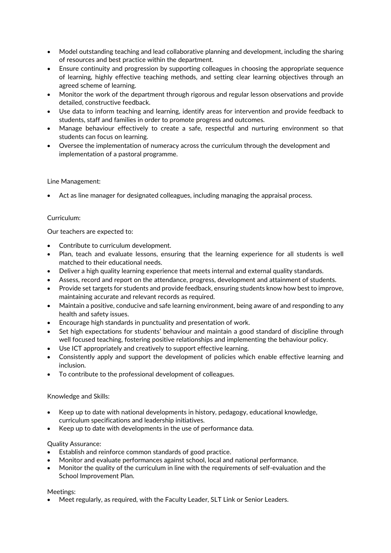- Model outstanding teaching and lead collaborative planning and development, including the sharing of resources and best practice within the department.
- Ensure continuity and progression by supporting colleagues in choosing the appropriate sequence of learning, highly effective teaching methods, and setting clear learning objectives through an agreed scheme of learning.
- Monitor the work of the department through rigorous and regular lesson observations and provide detailed, constructive feedback.
- Use data to inform teaching and learning, identify areas for intervention and provide feedback to students, staff and families in order to promote progress and outcomes.
- Manage behaviour effectively to create a safe, respectful and nurturing environment so that students can focus on learning.
- Oversee the implementation of numeracy across the curriculum through the development and implementation of a pastoral programme.

### Line Management:

• Act as line manager for designated colleagues, including managing the appraisal process.

## Curriculum:

Our teachers are expected to:

- Contribute to curriculum development.
- Plan, teach and evaluate lessons, ensuring that the learning experience for all students is well matched to their educational needs.
- Deliver a high quality learning experience that meets internal and external quality standards.
- Assess, record and report on the attendance, progress, development and attainment of students.
- Provide set targets for students and provide feedback, ensuring students know how best to improve, maintaining accurate and relevant records as required.
- Maintain a positive, conducive and safe learning environment, being aware of and responding to any health and safety issues.
- Encourage high standards in punctuality and presentation of work.
- Set high expectations for students' behaviour and maintain a good standard of discipline through well focused teaching, fostering positive relationships and implementing the behaviour policy.
- Use ICT appropriately and creatively to support effective learning.
- Consistently apply and support the development of policies which enable effective learning and inclusion.
- To contribute to the professional development of colleagues.

### Knowledge and Skills:

- Keep up to date with national developments in history, pedagogy, educational knowledge, curriculum specifications and leadership initiatives.
- Keep up to date with developments in the use of performance data.

### Quality Assurance:

- Establish and reinforce common standards of good practice.
- Monitor and evaluate performances against school, local and national performance.
- Monitor the quality of the curriculum in line with the requirements of self-evaluation and the School Improvement Plan.

### Meetings:

• Meet regularly, as required, with the Faculty Leader, SLT Link or Senior Leaders.